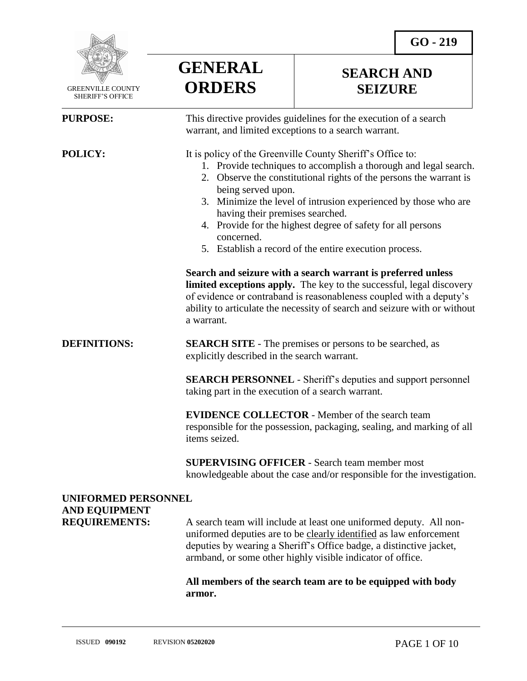**SEARCH AND SEIZURE**



 GREENVILLE COUNTY SHERIFF'S OFFICE

## **PURPOSE:** This directive provides guidelines for the execution of a search

 $\overline{a}$ 

warrant, and limited exceptions to a search warrant.

**POLICY:** It is policy of the Greenville County Sheriff's Office to:

- 1. Provide techniques to accomplish a thorough and legal search.
- 2. Observe the constitutional rights of the persons the warrant is being served upon.
- 3. Minimize the level of intrusion experienced by those who are having their premises searched.
- 4. Provide for the highest degree of safety for all persons concerned.
- 5. Establish a record of the entire execution process.

**Search and seizure with a search warrant is preferred unless limited exceptions apply.** The key to the successful, legal discovery of evidence or contraband is reasonableness coupled with a deputy's ability to articulate the necessity of search and seizure with or without a warrant.

## **DEFINITIONS: SEARCH SITE** - The premises or persons to be searched, as explicitly described in the search warrant.

**GENERAL**

**ORDERS**

**SEARCH PERSONNEL** - Sheriff's deputies and support personnel taking part in the execution of a search warrant.

**EVIDENCE COLLECTOR** - Member of the search team responsible for the possession, packaging, sealing, and marking of all items seized.

**SUPERVISING OFFICER** - Search team member most knowledgeable about the case and/or responsible for the investigation.

# **UNIFORMED PERSONNEL AND EQUIPMENT**

**REQUIREMENTS:** A search team will include at least one uniformed deputy. All nonuniformed deputies are to be clearly identified as law enforcement deputies by wearing a Sheriff's Office badge, a distinctive jacket, armband, or some other highly visible indicator of office.

> **All members of the search team are to be equipped with body armor.**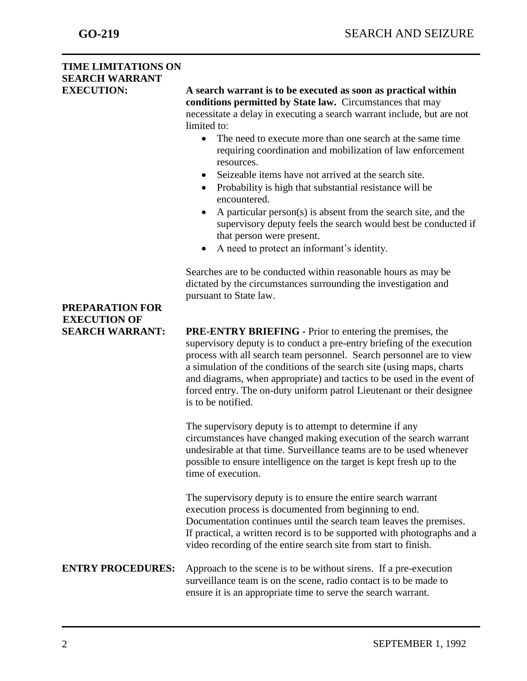# **TIME LIMITATIONS ON SEARCH WARRANT**

**EXECUTION: A search warrant is to be executed as soon as practical within conditions permitted by State law.** Circumstances that may necessitate a delay in executing a search warrant include, but are not limited to:

- The need to execute more than one search at the same time requiring coordination and mobilization of law enforcement resources.
- Seizeable items have not arrived at the search site.
- Probability is high that substantial resistance will be encountered.
- A particular person(s) is absent from the search site, and the supervisory deputy feels the search would best be conducted if that person were present.
- A need to protect an informant's identity.

Searches are to be conducted within reasonable hours as may be dictated by the circumstances surrounding the investigation and pursuant to State law.

**SEARCH WARRANT: PRE-ENTRY BRIEFING -** Prior to entering the premises, the supervisory deputy is to conduct a pre-entry briefing of the execution process with all search team personnel. Search personnel are to view a simulation of the conditions of the search site (using maps, charts and diagrams, when appropriate) and tactics to be used in the event of forced entry. The on-duty uniform patrol Lieutenant or their designee is to be notified.

> The supervisory deputy is to attempt to determine if any circumstances have changed making execution of the search warrant undesirable at that time. Surveillance teams are to be used whenever possible to ensure intelligence on the target is kept fresh up to the time of execution.

The supervisory deputy is to ensure the entire search warrant execution process is documented from beginning to end. Documentation continues until the search team leaves the premises. If practical, a written record is to be supported with photographs and a video recording of the entire search site from start to finish.

**ENTRY PROCEDURES:** Approach to the scene is to be without sirens. If a pre-execution surveillance team is on the scene, radio contact is to be made to ensure it is an appropriate time to serve the search warrant.

# **PREPARATION FOR EXECUTION OF**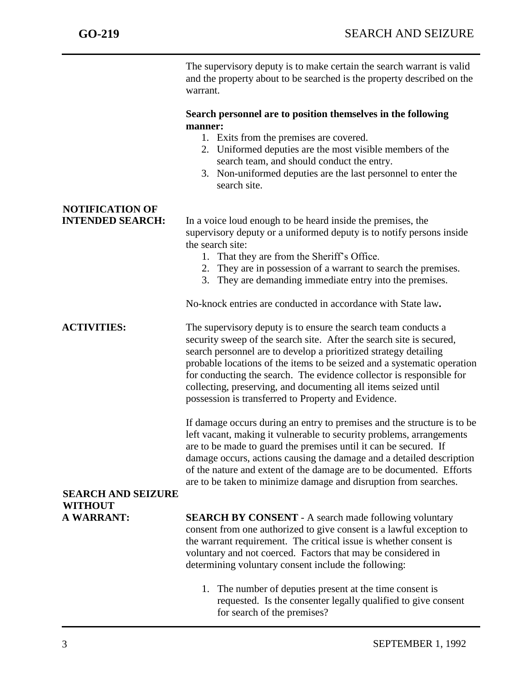The supervisory deputy is to make certain the search warrant is valid and the property about to be searched is the property described on the warrant.

### **Search personnel are to position themselves in the following manner:**

- 1. Exits from the premises are covered.
- 2. Uniformed deputies are the most visible members of the search team, and should conduct the entry.
- 3. Non-uniformed deputies are the last personnel to enter the search site.

# **NOTIFICATION OF**

**INTENDED SEARCH:** In a voice loud enough to be heard inside the premises, the supervisory deputy or a uniformed deputy is to notify persons inside the search site:

- 1. That they are from the Sheriff's Office.
- 2. They are in possession of a warrant to search the premises.
- 3. They are demanding immediate entry into the premises.

No-knock entries are conducted in accordance with State law**.**

**ACTIVITIES:** The supervisory deputy is to ensure the search team conducts a security sweep of the search site. After the search site is secured, search personnel are to develop a prioritized strategy detailing probable locations of the items to be seized and a systematic operation for conducting the search. The evidence collector is responsible for collecting, preserving, and documenting all items seized until possession is transferred to Property and Evidence.

> If damage occurs during an entry to premises and the structure is to be left vacant, making it vulnerable to security problems, arrangements are to be made to guard the premises until it can be secured. If damage occurs, actions causing the damage and a detailed description of the nature and extent of the damage are to be documented. Efforts are to be taken to minimize damage and disruption from searches.

# **SEARCH AND SEIZURE WITHOUT**

**A WARRANT: SEARCH BY CONSENT** - A search made following voluntary consent from one authorized to give consent is a lawful exception to the warrant requirement. The critical issue is whether consent is voluntary and not coerced. Factors that may be considered in determining voluntary consent include the following:

> 1. The number of deputies present at the time consent is requested. Is the consenter legally qualified to give consent for search of the premises?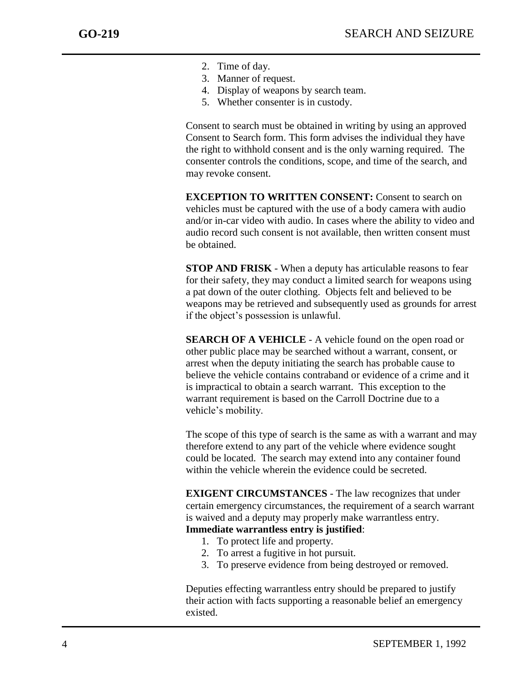- 2. Time of day.
- 3. Manner of request.
- 4. Display of weapons by search team.
- 5. Whether consenter is in custody.

Consent to search must be obtained in writing by using an approved Consent to Search form. This form advises the individual they have the right to withhold consent and is the only warning required. The consenter controls the conditions, scope, and time of the search, and may revoke consent.

**EXCEPTION TO WRITTEN CONSENT:** Consent to search on vehicles must be captured with the use of a body camera with audio and/or in-car video with audio. In cases where the ability to video and audio record such consent is not available, then written consent must be obtained.

**STOP AND FRISK** - When a deputy has articulable reasons to fear for their safety, they may conduct a limited search for weapons using a pat down of the outer clothing. Objects felt and believed to be weapons may be retrieved and subsequently used as grounds for arrest if the object's possession is unlawful.

**SEARCH OF A VEHICLE** - A vehicle found on the open road or other public place may be searched without a warrant, consent, or arrest when the deputy initiating the search has probable cause to believe the vehicle contains contraband or evidence of a crime and it is impractical to obtain a search warrant. This exception to the warrant requirement is based on the Carroll Doctrine due to a vehicle's mobility.

The scope of this type of search is the same as with a warrant and may therefore extend to any part of the vehicle where evidence sought could be located. The search may extend into any container found within the vehicle wherein the evidence could be secreted.

**EXIGENT CIRCUMSTANCES** - The law recognizes that under certain emergency circumstances, the requirement of a search warrant is waived and a deputy may properly make warrantless entry. **Immediate warrantless entry is justified**:

- 1. To protect life and property.
- 2. To arrest a fugitive in hot pursuit.
- 3. To preserve evidence from being destroyed or removed.

Deputies effecting warrantless entry should be prepared to justify their action with facts supporting a reasonable belief an emergency existed.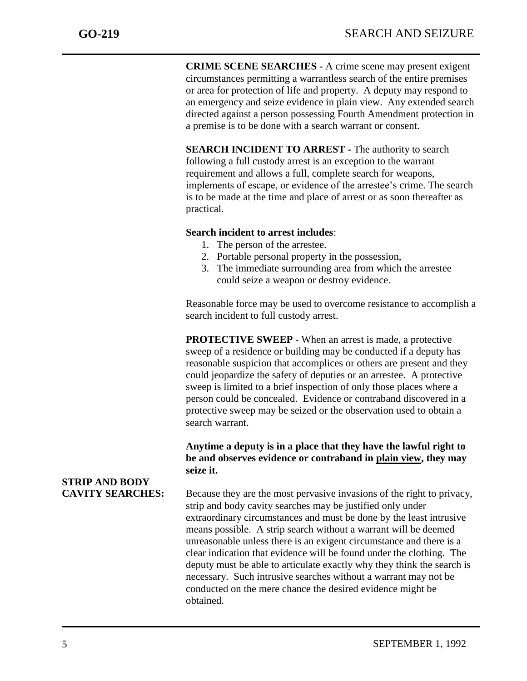**CRIME SCENE SEARCHES -** A crime scene may present exigent circumstances permitting a warrantless search of the entire premises or area for protection of life and property. A deputy may respond to an emergency and seize evidence in plain view. Any extended search directed against a person possessing Fourth Amendment protection in a premise is to be done with a search warrant or consent.

**SEARCH INCIDENT TO ARREST -** The authority to search following a full custody arrest is an exception to the warrant requirement and allows a full, complete search for weapons, implements of escape, or evidence of the arrestee's crime. The search is to be made at the time and place of arrest or as soon thereafter as practical.

## **Search incident to arrest includes**:

- 1. The person of the arrestee.
- 2. Portable personal property in the possession,
- 3. The immediate surrounding area from which the arrestee could seize a weapon or destroy evidence.

Reasonable force may be used to overcome resistance to accomplish a search incident to full custody arrest.

**PROTECTIVE SWEEP** - When an arrest is made, a protective sweep of a residence or building may be conducted if a deputy has reasonable suspicion that accomplices or others are present and they could jeopardize the safety of deputies or an arrestee. A protective sweep is limited to a brief inspection of only those places where a person could be concealed. Evidence or contraband discovered in a protective sweep may be seized or the observation used to obtain a search warrant.

## **Anytime a deputy is in a place that they have the lawful right to be and observes evidence or contraband in plain view, they may seize it.**

**CAVITY SEARCHES:** Because they are the most pervasive invasions of the right to privacy, strip and body cavity searches may be justified only under extraordinary circumstances and must be done by the least intrusive means possible. A strip search without a warrant will be deemed unreasonable unless there is an exigent circumstance and there is a clear indication that evidence will be found under the clothing. The deputy must be able to articulate exactly why they think the search is necessary. Such intrusive searches without a warrant may not be conducted on the mere chance the desired evidence might be obtained.

# **STRIP AND BODY**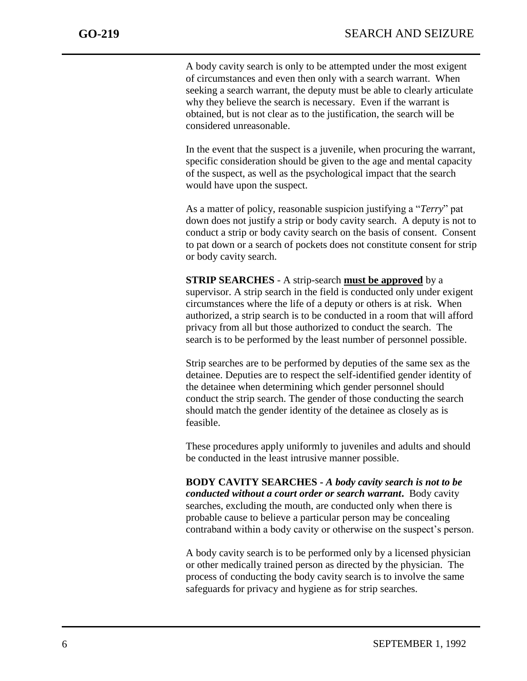A body cavity search is only to be attempted under the most exigent of circumstances and even then only with a search warrant. When seeking a search warrant, the deputy must be able to clearly articulate why they believe the search is necessary. Even if the warrant is obtained, but is not clear as to the justification, the search will be considered unreasonable.

In the event that the suspect is a juvenile, when procuring the warrant, specific consideration should be given to the age and mental capacity of the suspect, as well as the psychological impact that the search would have upon the suspect.

As a matter of policy, reasonable suspicion justifying a "*Terry*" pat down does not justify a strip or body cavity search. A deputy is not to conduct a strip or body cavity search on the basis of consent. Consent to pat down or a search of pockets does not constitute consent for strip or body cavity search.

### **STRIP SEARCHES** - A strip-search **must be approved** by a supervisor. A strip search in the field is conducted only under exigent circumstances where the life of a deputy or others is at risk. When authorized, a strip search is to be conducted in a room that will afford privacy from all but those authorized to conduct the search. The search is to be performed by the least number of personnel possible.

Strip searches are to be performed by deputies of the same sex as the detainee. Deputies are to respect the self-identified gender identity of the detainee when determining which gender personnel should conduct the strip search. The gender of those conducting the search should match the gender identity of the detainee as closely as is feasible.

These procedures apply uniformly to juveniles and adults and should be conducted in the least intrusive manner possible.

**BODY CAVITY SEARCHES -** *A body cavity search is not to be conducted without a court order or search warrant***.** Body cavity searches, excluding the mouth, are conducted only when there is probable cause to believe a particular person may be concealing contraband within a body cavity or otherwise on the suspect's person.

A body cavity search is to be performed only by a licensed physician or other medically trained person as directed by the physician. The process of conducting the body cavity search is to involve the same safeguards for privacy and hygiene as for strip searches.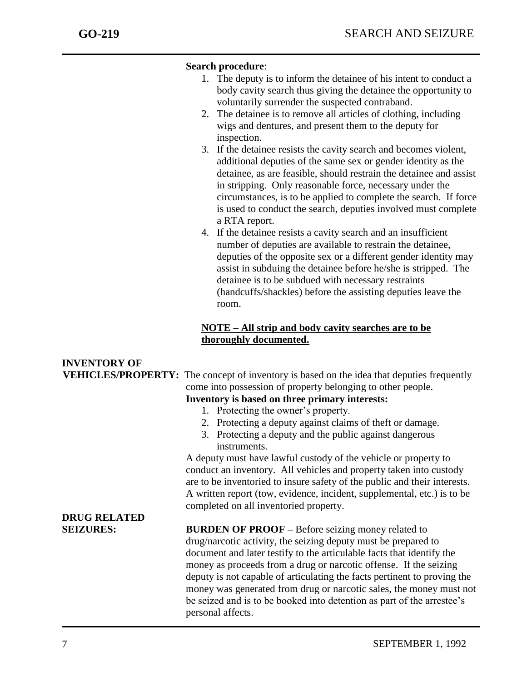## **Search procedure**:

- 1. The deputy is to inform the detainee of his intent to conduct a body cavity search thus giving the detainee the opportunity to voluntarily surrender the suspected contraband.
- 2. The detainee is to remove all articles of clothing, including wigs and dentures, and present them to the deputy for inspection.
- 3. If the detainee resists the cavity search and becomes violent, additional deputies of the same sex or gender identity as the detainee, as are feasible, should restrain the detainee and assist in stripping. Only reasonable force, necessary under the circumstances, is to be applied to complete the search. If force is used to conduct the search, deputies involved must complete a RTA report.
- 4. If the detainee resists a cavity search and an insufficient number of deputies are available to restrain the detainee, deputies of the opposite sex or a different gender identity may assist in subduing the detainee before he/she is stripped. The detainee is to be subdued with necessary restraints (handcuffs/shackles) before the assisting deputies leave the room.

## **NOTE – All strip and body cavity searches are to be thoroughly documented.**

| <b>INVENTORY OF</b> |                                                                                                  |
|---------------------|--------------------------------------------------------------------------------------------------|
|                     | <b>VEHICLES/PROPERTY:</b> The concept of inventory is based on the idea that deputies frequently |
|                     | come into possession of property belonging to other people.                                      |
|                     | Inventory is based on three primary interests:                                                   |
|                     | 1. Protecting the owner's property.                                                              |
|                     | 2. Protecting a deputy against claims of theft or damage.                                        |
|                     | 3. Protecting a deputy and the public against dangerous                                          |
|                     | instruments.                                                                                     |
|                     | A deputy must have lawful custody of the vehicle or property to                                  |
|                     | conduct an inventory. All vehicles and property taken into custody                               |
|                     | are to be inventoried to insure safety of the public and their interests.                        |
|                     | A written report (tow, evidence, incident, supplemental, etc.) is to be                          |
|                     | completed on all inventoried property.                                                           |
| <b>DRUG RELATED</b> |                                                                                                  |
| <b>SEIZURES:</b>    | <b>BURDEN OF PROOF – Before seizing money related to</b>                                         |
|                     | drug/narcotic activity, the seizing deputy must be prepared to                                   |
|                     | document and later testify to the articulable facts that identify the                            |
|                     | money as proceeds from a drug or narcotic offense. If the seizing                                |
|                     | deputy is not capable of articulating the facts pertinent to proving the                         |
|                     | money was generated from drug or narcotic sales, the money must not                              |
|                     | be seized and is to be booked into detention as part of the arrestee's                           |
|                     | personal affects.                                                                                |
|                     |                                                                                                  |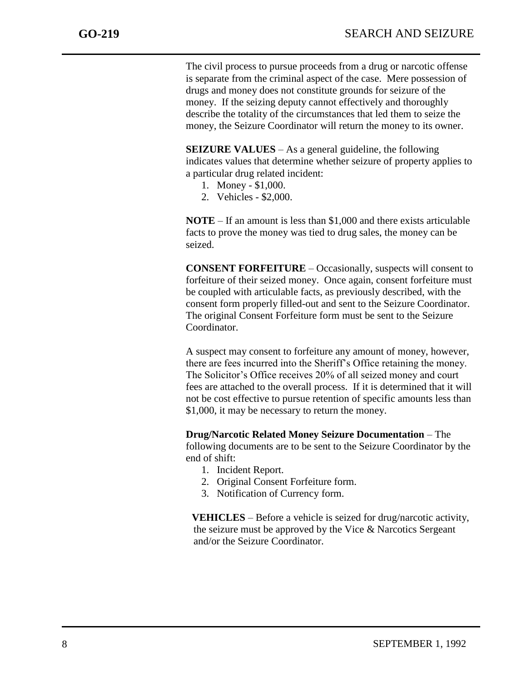The civil process to pursue proceeds from a drug or narcotic offense is separate from the criminal aspect of the case. Mere possession of drugs and money does not constitute grounds for seizure of the money. If the seizing deputy cannot effectively and thoroughly describe the totality of the circumstances that led them to seize the money, the Seizure Coordinator will return the money to its owner.

**SEIZURE VALUES** – As a general guideline, the following indicates values that determine whether seizure of property applies to a particular drug related incident:

- 1. Money \$1,000.
- 2. Vehicles \$2,000.

**NOTE** – If an amount is less than \$1,000 and there exists articulable facts to prove the money was tied to drug sales, the money can be seized.

**CONSENT FORFEITURE** – Occasionally, suspects will consent to forfeiture of their seized money. Once again, consent forfeiture must be coupled with articulable facts, as previously described, with the consent form properly filled-out and sent to the Seizure Coordinator. The original Consent Forfeiture form must be sent to the Seizure Coordinator.

A suspect may consent to forfeiture any amount of money, however, there are fees incurred into the Sheriff's Office retaining the money. The Solicitor's Office receives 20% of all seized money and court fees are attached to the overall process. If it is determined that it will not be cost effective to pursue retention of specific amounts less than \$1,000, it may be necessary to return the money.

**Drug/Narcotic Related Money Seizure Documentation** – The following documents are to be sent to the Seizure Coordinator by the end of shift:

- 1. Incident Report.
- 2. Original Consent Forfeiture form.
- 3. Notification of Currency form.

**VEHICLES** – Before a vehicle is seized for drug/narcotic activity, the seizure must be approved by the Vice & Narcotics Sergeant and/or the Seizure Coordinator.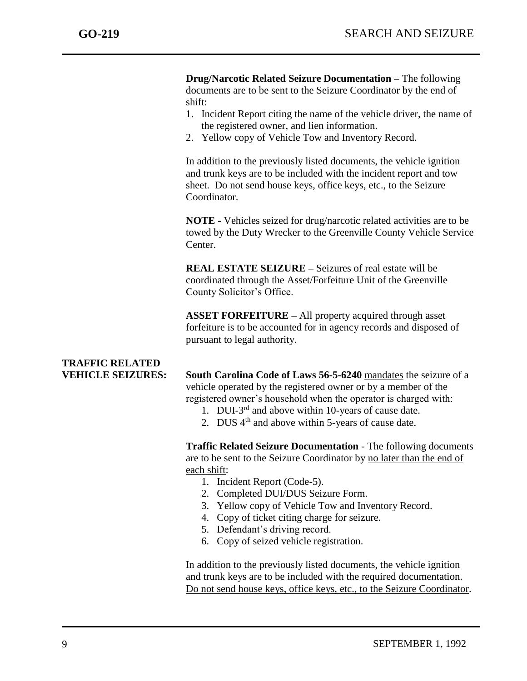**Drug/Narcotic Related Seizure Documentation –** The following documents are to be sent to the Seizure Coordinator by the end of shift:

- 1. Incident Report citing the name of the vehicle driver, the name of the registered owner, and lien information.
- 2. Yellow copy of Vehicle Tow and Inventory Record.

In addition to the previously listed documents, the vehicle ignition and trunk keys are to be included with the incident report and tow sheet. Do not send house keys, office keys, etc., to the Seizure Coordinator.

**NOTE -** Vehicles seized for drug/narcotic related activities are to be towed by the Duty Wrecker to the Greenville County Vehicle Service Center.

**REAL ESTATE SEIZURE –** Seizures of real estate will be coordinated through the Asset/Forfeiture Unit of the Greenville County Solicitor's Office.

**ASSET FORFEITURE –** All property acquired through asset forfeiture is to be accounted for in agency records and disposed of pursuant to legal authority.

# **TRAFFIC RELATED**

**VEHICLE SEIZURES: South Carolina Code of Laws 56-5-6240** mandates the seizure of a vehicle operated by the registered owner or by a member of the registered owner's household when the operator is charged with:

- 1. DUI-3<sup>rd</sup> and above within 10-years of cause date.
- 2. DUS  $4<sup>th</sup>$  and above within 5-years of cause date.

**Traffic Related Seizure Documentation** - The following documents are to be sent to the Seizure Coordinator by no later than the end of each shift:

- 1. Incident Report (Code-5).
- 2. Completed DUI/DUS Seizure Form.
- 3. Yellow copy of Vehicle Tow and Inventory Record.
- 4. Copy of ticket citing charge for seizure.
- 5. Defendant's driving record.
- 6. Copy of seized vehicle registration.

In addition to the previously listed documents, the vehicle ignition and trunk keys are to be included with the required documentation. Do not send house keys, office keys, etc., to the Seizure Coordinator.